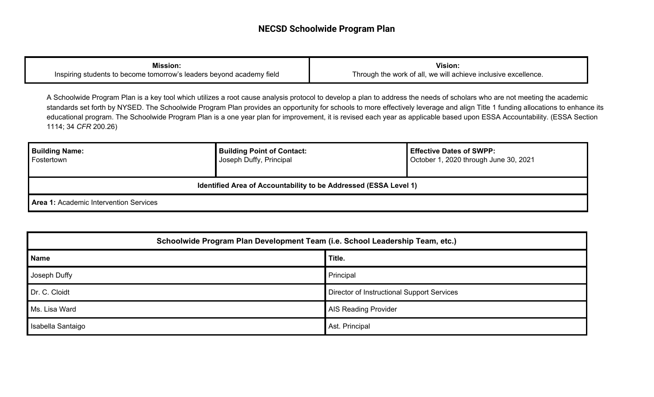| <b>Mission:</b>                                                      | <b>Vision:</b>                                                 |
|----------------------------------------------------------------------|----------------------------------------------------------------|
| Inspiring students to become tomorrow's leaders beyond academy field | Through the work of all, we will achieve inclusive excellence. |

A Schoolwide Program Plan is a key tool which utilizes a root cause analysis protocol to develop a plan to address the needs of scholars who are not meeting the academic standards set forth by NYSED. The Schoolwide Program Plan provides an opportunity for schools to more effectively leverage and align Title 1 funding allocations to enhance its educational program. The Schoolwide Program Plan is a one year plan for improvement, it is revised each year as applicable based upon ESSA Accountability. (ESSA Section 1114; 34 *CFR* 200.26)

| <b>Building Name:</b><br>Fostertown                              | <b>Building Point of Contact:</b><br>Joseph Duffy, Principal | <b>Effective Dates of SWPP:</b><br>October 1, 2020 through June 30, 2021 |  |  |  |
|------------------------------------------------------------------|--------------------------------------------------------------|--------------------------------------------------------------------------|--|--|--|
| Identified Area of Accountability to be Addressed (ESSA Level 1) |                                                              |                                                                          |  |  |  |
| <b>Area 1: Academic Intervention Services</b>                    |                                                              |                                                                          |  |  |  |

| Schoolwide Program Plan Development Team (i.e. School Leadership Team, etc.) |                                            |  |  |
|------------------------------------------------------------------------------|--------------------------------------------|--|--|
| <b>Name</b>                                                                  | Title.                                     |  |  |
| Joseph Duffy                                                                 | Principal                                  |  |  |
| Dr. C. Cloidt                                                                | Director of Instructional Support Services |  |  |
| Ms. Lisa Ward                                                                | <b>AIS Reading Provider</b>                |  |  |
| Isabella Santaigo                                                            | Ast. Principal                             |  |  |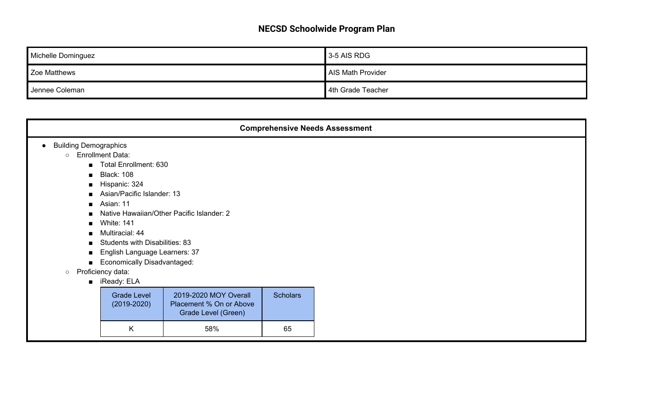| Michelle Dominguez | 3-5 AIS RDG       |
|--------------------|-------------------|
| Zoe Matthews       | AIS Math Provider |
| Jennee Coleman     | 4th Grade Teacher |

| <b>Comprehensive Needs Assessment</b>                                                                           |                                                                                                                                                                                            |                                                                         |                 |  |  |  |
|-----------------------------------------------------------------------------------------------------------------|--------------------------------------------------------------------------------------------------------------------------------------------------------------------------------------------|-------------------------------------------------------------------------|-----------------|--|--|--|
| <b>Building Demographics</b><br>$\circ$<br>$\blacksquare$<br>$\blacksquare$<br>$\blacksquare$<br>$\blacksquare$ | <b>Enrollment Data:</b><br>Total Enrollment: 630<br><b>Black: 108</b><br>Hispanic: 324<br>Asian/Pacific Islander: 13<br>Asian: 11                                                          | Native Hawaiian/Other Pacific Islander: 2                               |                 |  |  |  |
| $\blacksquare$<br>$\blacksquare$<br>$\blacksquare$<br>п<br>$\blacksquare$<br>$\circ$                            | <b>White: 141</b><br>Multiracial: 44<br><b>Students with Disabilities: 83</b><br>English Language Learners: 37<br><b>Economically Disadvantaged:</b><br>Proficiency data:<br>■ iReady: ELA |                                                                         |                 |  |  |  |
|                                                                                                                 | <b>Grade Level</b><br>$(2019 - 2020)$                                                                                                                                                      | 2019-2020 MOY Overall<br>Placement % On or Above<br>Grade Level (Green) | <b>Scholars</b> |  |  |  |
|                                                                                                                 | K                                                                                                                                                                                          | 58%                                                                     | 65              |  |  |  |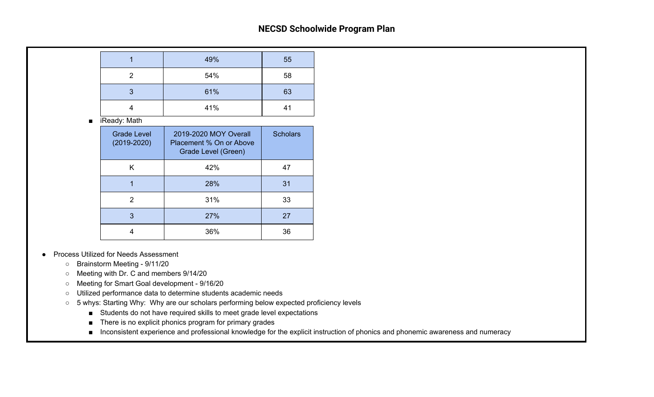|   | 49% | 55 |
|---|-----|----|
| っ | 54% | 58 |
| 3 | 61% | 63 |
|   | 41% | 41 |

■ iReady: Math

| <b>Grade Level</b><br>$(2019 - 2020)$ | 2019-2020 MOY Overall<br>Placement % On or Above<br>Grade Level (Green) | <b>Scholars</b> |
|---------------------------------------|-------------------------------------------------------------------------|-----------------|
| Κ                                     | 42%                                                                     | 47              |
|                                       | 28%                                                                     | 31              |
| 2                                     | 31%                                                                     | 33              |
| 3                                     | 27%                                                                     | 27              |
|                                       | 36%                                                                     | 36              |

- **Process Utilized for Needs Assessment** 
	- Brainstorm Meeting 9/11/20
	- Meeting with Dr. C and members 9/14/20
	- Meeting for Smart Goal development 9/16/20
	- Utilized performance data to determine students academic needs
	- 5 whys: Starting Why: Why are our scholars performing below expected proficiency levels
		- Students do not have required skills to meet grade level expectations
		- There is no explicit phonics program for primary grades
		- Inconsistent experience and professional knowledge for the explicit instruction of phonics and phonemic awareness and numeracy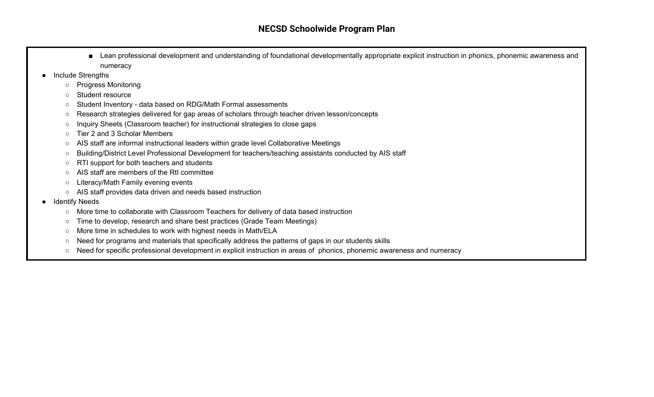- Lean professional development and understanding of foundational developmentally appropriate explicit instruction in phonics, phonemic awareness and numeracy
- **Include Strengths** 
	- Progress Monitoring
	- Student resource
	- Student Inventory data based on RDG/Math Formal assessments
	- Research strategies delivered for gap areas of scholars through teacher driven lesson/concepts
	- Inquiry Sheets (Classroom teacher) for instructional strategies to close gaps
	- Tier 2 and 3 Scholar Members
	- AIS staff are informal instructional leaders within grade level Collaborative Meetings
	- Building/District Level Professional Development for teachers/teaching assistants conducted by AIS staff
	- RTI support for both teachers and students
	- AIS staff are members of the RtI committee
	- Literacy/Math Family evening events
	- AIS staff provides data driven and needs based instruction
- **Identify Needs** 
	- More time to collaborate with Classroom Teachers for delivery of data based instruction
	- Time to develop, research and share best practices (Grade Team Meetings)
	- More time in schedules to work with highest needs in Math/ELA
	- Need for programs and materials that specifically address the patterns of gaps in our students skills
	- Need for specific professional development in explicit instruction in areas of phonics, phonemic awareness and numeracy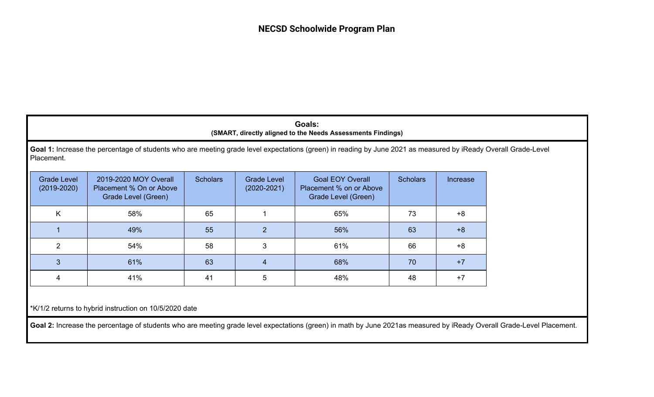| Goals:                                                      |
|-------------------------------------------------------------|
| (SMART, directly aligned to the Needs Assessments Findings) |

**Goal 1:** Increase the percentage of students who are meeting grade level expectations (green) in reading by June 2021 as measured by iReady Overall Grade-Level Placement.

| <b>Grade Level</b><br>$(2019 - 2020)$ | 2019-2020 MOY Overall<br>Placement % On or Above<br>Grade Level (Green) | <b>Scholars</b> | Grade Level<br>$(2020 - 2021)$ | <b>Goal EOY Overall</b><br>Placement % on or Above<br>Grade Level (Green) |    | Increase |
|---------------------------------------|-------------------------------------------------------------------------|-----------------|--------------------------------|---------------------------------------------------------------------------|----|----------|
| K                                     | 58%                                                                     | 65              |                                | 65%                                                                       | 73 | +8       |
|                                       | 49%                                                                     | 55              | 2                              | 56%                                                                       | 63 | $+8$     |
| $\mathcal{P}$                         | 54%                                                                     | 58              | 3                              | 61%                                                                       | 66 | $+8$     |
| 3                                     | 61%                                                                     | 63              |                                | 68%                                                                       | 70 | $+7$     |
| 4                                     | 41%                                                                     | 41              | 5                              | 48%                                                                       | 48 | $+7$     |

\*K/1/2 returns to hybrid instruction on 10/5/2020 date

Goal 2: Increase the percentage of students who are meeting grade level expectations (green) in math by June 2021as measured by iReady Overall Grade-Level Placement.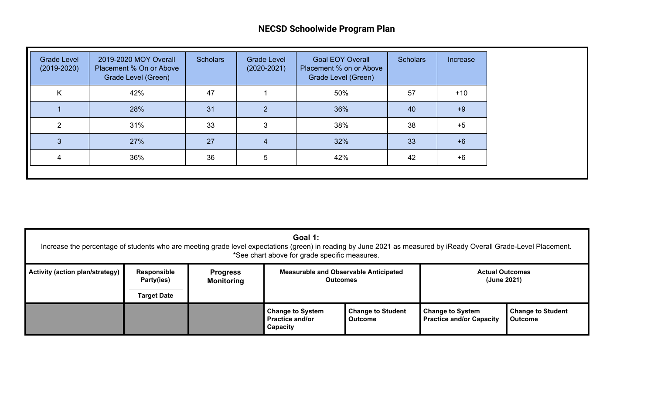| 50%<br>Κ<br>42%<br>47<br>57<br>$+10$<br>36%<br>28%<br>31<br>$\mathcal{P}$<br>40<br>$+9$ |
|-----------------------------------------------------------------------------------------|
|                                                                                         |
|                                                                                         |
| 38%<br>31%<br>33<br>38<br>ົ<br>3<br>$+5$                                                |
| 27<br>32%<br>27%<br>33<br>$+6$                                                          |
| 36%<br>42%<br>36<br>5<br>42<br>$+6$                                                     |

| Goal 1:<br>Increase the percentage of students who are meeting grade level expectations (green) in reading by June 2021 as measured by iReady Overall Grade-Level Placement.<br>*See chart above for grade specific measures. |                                                                                                                                                                                                            |  |                                                               |                                            |                                                            |                                            |  |
|-------------------------------------------------------------------------------------------------------------------------------------------------------------------------------------------------------------------------------|------------------------------------------------------------------------------------------------------------------------------------------------------------------------------------------------------------|--|---------------------------------------------------------------|--------------------------------------------|------------------------------------------------------------|--------------------------------------------|--|
| <b>Activity (action plan/strategy)</b>                                                                                                                                                                                        | <b>Measurable and Observable Anticipated</b><br><b>Responsible</b><br><b>Actual Outcomes</b><br><b>Progress</b><br>Party(ies)<br>(June 2021)<br><b>Outcomes</b><br><b>Monitoring</b><br><b>Target Date</b> |  |                                                               |                                            |                                                            |                                            |  |
|                                                                                                                                                                                                                               |                                                                                                                                                                                                            |  | <b>Change to System</b><br><b>Practice and/or</b><br>Capacity | <b>Change to Student</b><br><b>Outcome</b> | <b>Change to System</b><br><b>Practice and/or Capacity</b> | <b>Change to Student</b><br><b>Outcome</b> |  |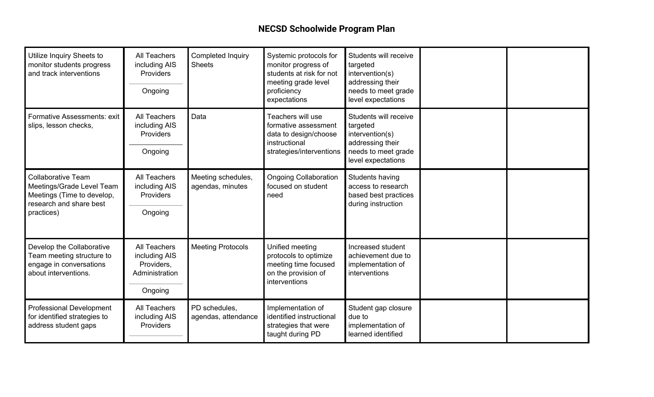| Utilize Inquiry Sheets to<br>monitor students progress<br>and track interventions                                             | <b>All Teachers</b><br>including AIS<br>Providers<br>Ongoing             | Completed Inquiry<br><b>Sheets</b>     | Systemic protocols for<br>monitor progress of<br>students at risk for not<br>meeting grade level<br>proficiency<br>expectations | Students will receive<br>targeted<br>intervention(s)<br>addressing their<br>needs to meet grade<br>level expectations |  |
|-------------------------------------------------------------------------------------------------------------------------------|--------------------------------------------------------------------------|----------------------------------------|---------------------------------------------------------------------------------------------------------------------------------|-----------------------------------------------------------------------------------------------------------------------|--|
| Formative Assessments: exit<br>slips, lesson checks,                                                                          | <b>All Teachers</b><br>including AIS<br>Providers<br>Ongoing             | Data                                   | Teachers will use<br>formative assessment<br>data to design/choose<br>instructional<br>strategies/interventions                 | Students will receive<br>targeted<br>intervention(s)<br>addressing their<br>needs to meet grade<br>level expectations |  |
| <b>Collaborative Team</b><br>Meetings/Grade Level Team<br>Meetings (Time to develop,<br>research and share best<br>practices) | <b>All Teachers</b><br>including AIS<br>Providers<br>Ongoing             | Meeting schedules,<br>agendas, minutes | <b>Ongoing Collaboration</b><br>focused on student<br>need                                                                      | Students having<br>access to research<br>based best practices<br>during instruction                                   |  |
| Develop the Collaborative<br>Team meeting structure to<br>engage in conversations<br>about interventions.                     | All Teachers<br>including AIS<br>Providers,<br>Administration<br>Ongoing | <b>Meeting Protocols</b>               | Unified meeting<br>protocols to optimize<br>meeting time focused<br>on the provision of<br>interventions                        | Increased student<br>achievement due to<br>implementation of<br>interventions                                         |  |
| <b>Professional Development</b><br>for identified strategies to<br>address student gaps                                       | <b>All Teachers</b><br>including AIS<br>Providers                        | PD schedules,<br>agendas, attendance   | Implementation of<br>identified instructional<br>strategies that were<br>taught during PD                                       | Student gap closure<br>due to<br>implementation of<br>learned identified                                              |  |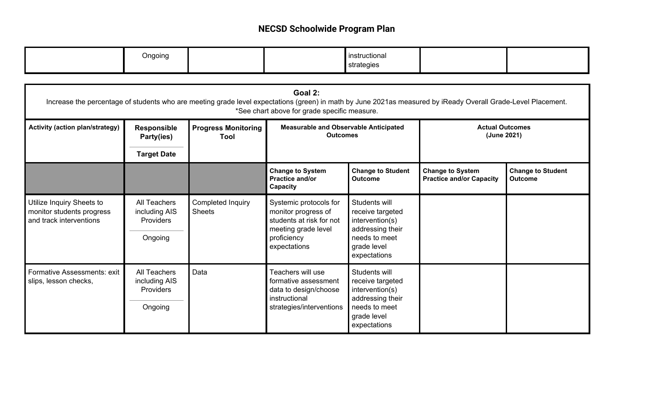| Ongoing |  | instructional |  |
|---------|--|---------------|--|
|         |  | strategies    |  |

| Goal 2:<br>Increase the percentage of students who are meeting grade level expectations (green) in math by June 2021as measured by iReady Overall Grade-Level Placement.<br>*See chart above for grade specific measure. |                                                              |                                    |                                                                                                                                 |                                                                                                                          |                                                            |                                            |  |  |
|--------------------------------------------------------------------------------------------------------------------------------------------------------------------------------------------------------------------------|--------------------------------------------------------------|------------------------------------|---------------------------------------------------------------------------------------------------------------------------------|--------------------------------------------------------------------------------------------------------------------------|------------------------------------------------------------|--------------------------------------------|--|--|
| <b>Activity (action plan/strategy)</b>                                                                                                                                                                                   | <b>Responsible</b><br>Party(ies)                             | <b>Progress Monitoring</b><br>Tool | <b>Measurable and Observable Anticipated</b><br><b>Outcomes</b>                                                                 |                                                                                                                          | <b>Actual Outcomes</b><br>(June 2021)                      |                                            |  |  |
|                                                                                                                                                                                                                          | <b>Target Date</b>                                           |                                    |                                                                                                                                 |                                                                                                                          |                                                            |                                            |  |  |
|                                                                                                                                                                                                                          |                                                              |                                    | <b>Change to System</b><br>Practice and/or<br>Capacity                                                                          | <b>Change to Student</b><br><b>Outcome</b>                                                                               | <b>Change to System</b><br><b>Practice and/or Capacity</b> | <b>Change to Student</b><br><b>Outcome</b> |  |  |
| Utilize Inquiry Sheets to<br>monitor students progress<br>and track interventions                                                                                                                                        | <b>All Teachers</b><br>including AIS<br>Providers<br>Ongoing | Completed Inquiry<br><b>Sheets</b> | Systemic protocols for<br>monitor progress of<br>students at risk for not<br>meeting grade level<br>proficiency<br>expectations | Students will<br>receive targeted<br>intervention(s)<br>addressing their<br>needs to meet<br>grade level<br>expectations |                                                            |                                            |  |  |
| <b>Formative Assessments: exit</b><br>slips, lesson checks,                                                                                                                                                              | All Teachers<br>including AIS<br>Providers<br>Ongoing        | Data                               | Teachers will use<br>formative assessment<br>data to design/choose<br>instructional<br>strategies/interventions                 | Students will<br>receive targeted<br>intervention(s)<br>addressing their<br>needs to meet<br>grade level<br>expectations |                                                            |                                            |  |  |